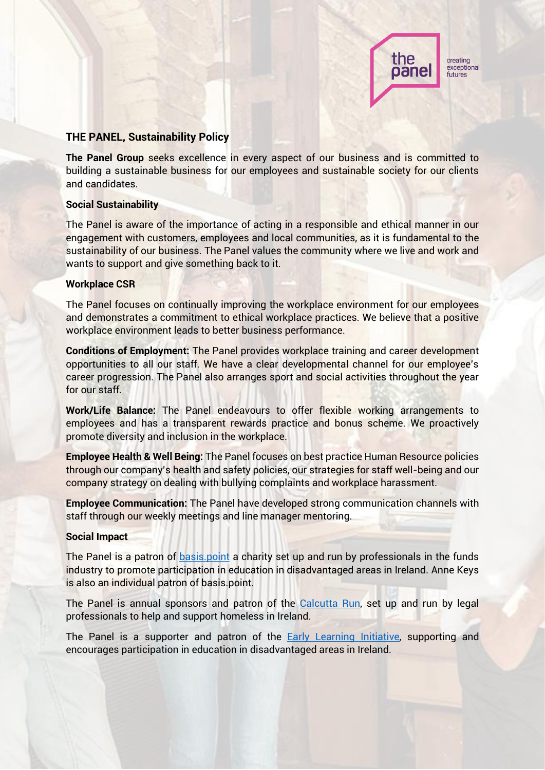

# **THE PANEL, Sustainability Policy**

**The Panel Group** seeks excellence in every aspect of our business and is committed to building a sustainable business for our employees and sustainable society for our clients and candidates.

## **Social Sustainability**

The Panel is aware of the importance of acting in a responsible and ethical manner in our engagement with customers, employees and local communities, as it is fundamental to the sustainability of our business. The Panel values the community where we live and work and wants to support and give something back to it.

## **Workplace CSR**

The Panel focuses on continually improving the workplace environment for our employees and demonstrates a commitment to ethical workplace practices. We believe that a positive workplace environment leads to better business performance.

**Conditions of Employment:** The Panel provides workplace training and career development opportunities to all our staff. We have a clear developmental channel for our employee's career progression. The Panel also arranges sport and social activities throughout the year for our staff.

**Work/Life Balance:** The Panel endeavours to offer flexible working arrangements to employees and has a transparent rewards practice and bonus scheme. We proactively promote diversity and inclusion in the workplace.

**Employee Health & Well Being:** The Panel focuses on best practice Human Resource policies through our company's health and safety policies, our strategies for staff well-being and our company strategy on dealing with bullying complaints and workplace harassment.

**Employee Communication:** The Panel have developed strong communication channels with staff through our weekly meetings and line manager mentoring.

#### **Social Impact**

The Panel is a patron of **basis.point** a charity set up and run by professionals in the funds industry to promote participation in education in disadvantaged areas in Ireland. Anne Keys is also an individual patron of basis.point.

The Panel is annual sponsors and patron of the [Calcutta Run,](https://www.calcuttarun.com/) set up and run by legal professionals to help and support homeless in Ireland.

The Panel is a supporter and patron of the **Early Learning Initiative**, supporting and encourages participation in education in disadvantaged areas in Ireland.